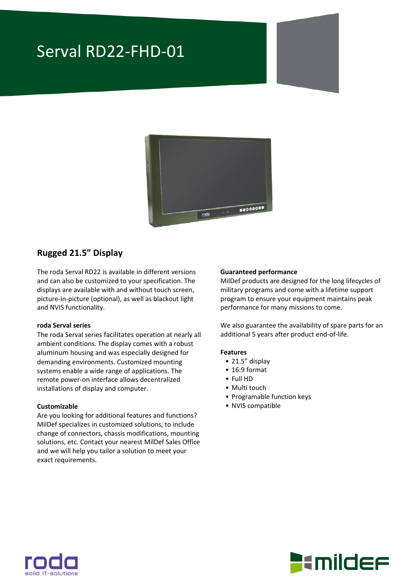# Serval RD22-FHD-01



### **Rugged 21.5" Display**

The roda Serval RD22 is available in different versions and can also be customized to your specification. The displays are available with and without touch screen, picture-in-picture (optional), as well as blackout light and NVIS functionality.

#### **roda Serval series**

The roda Serval series facilitates operation at nearly all ambient conditions. The display comes with a robust aluminum housing and was especially designed for demanding environments. Customized mounting systems enable a wide range of applications. The remote power-on interface allows decentralized installations of display and computer.

#### **Customizable**

Are you looking for additional features and functions? MilDef specializes in customized solutions, to include change of connectors, chassis modifications, mounting solutions, etc. Contact your nearest MilDef Sales Office and we will help you tailor a solution to meet your exact requirements.

#### **Guaranteed performance**

MilDef products are designed for the long lifecycles of military programs and come with a lifetime support program to ensure your equipment maintains peak performance for many missions to come.

We also guarantee the availability of spare parts for an additional 5 years after product end-of-life.

#### **Features**

- 21.5" display
- 16:9 format
- Full HD
- Multi touch
- Programable function keys
- NVIS compatible